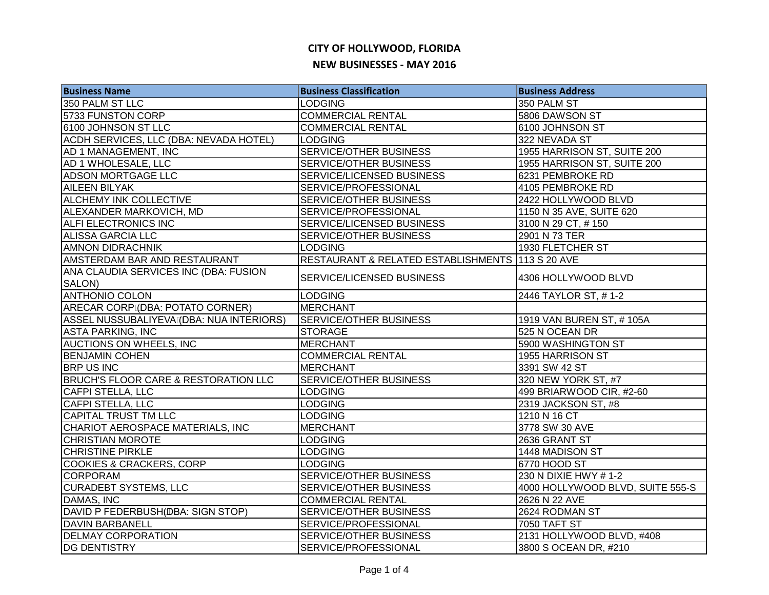| <b>Business Name</b>                            | <b>Business Classification</b>                   | <b>Business Address</b>          |
|-------------------------------------------------|--------------------------------------------------|----------------------------------|
| 350 PALM ST LLC                                 | <b>LODGING</b>                                   | 350 PALM ST                      |
| 5733 FUNSTON CORP                               | <b>COMMERCIAL RENTAL</b>                         | 5806 DAWSON ST                   |
| 6100 JOHNSON ST LLC                             | <b>COMMERCIAL RENTAL</b>                         | 6100 JOHNSON ST                  |
| ACDH SERVICES, LLC (DBA: NEVADA HOTEL)          | <b>LODGING</b>                                   | 322 NEVADA ST                    |
| AD 1 MANAGEMENT, INC                            | SERVICE/OTHER BUSINESS                           | 1955 HARRISON ST, SUITE 200      |
| AD 1 WHOLESALE, LLC                             | <b>SERVICE/OTHER BUSINESS</b>                    | 1955 HARRISON ST, SUITE 200      |
| <b>ADSON MORTGAGE LLC</b>                       | SERVICE/LICENSED BUSINESS                        | 6231 PEMBROKE RD                 |
| <b>AILEEN BILYAK</b>                            | SERVICE/PROFESSIONAL                             | 4105 PEMBROKE RD                 |
| <b>ALCHEMY INK COLLECTIVE</b>                   | SERVICE/OTHER BUSINESS                           | 2422 HOLLYWOOD BLVD              |
| ALEXANDER MARKOVICH, MD                         | SERVICE/PROFESSIONAL                             | 1150 N 35 AVE, SUITE 620         |
| ALFI ELECTRONICS INC                            | SERVICE/LICENSED BUSINESS                        | 3100 N 29 CT, #150               |
| <b>ALISSA GARCIA LLC</b>                        | SERVICE/OTHER BUSINESS                           | 2901 N 73 TER                    |
| <b>AMNON DIDRACHNIK</b>                         | <b>LODGING</b>                                   | 1930 FLETCHER ST                 |
| AMSTERDAM BAR AND RESTAURANT                    | RESTAURANT & RELATED ESTABLISHMENTS 113 S 20 AVE |                                  |
| ANA CLAUDIA SERVICES INC (DBA: FUSION           | SERVICE/LICENSED BUSINESS                        | 4306 HOLLYWOOD BLVD              |
| SALON)                                          |                                                  |                                  |
| <b>ANTHONIO COLON</b>                           | <b>LODGING</b>                                   | 2446 TAYLOR ST, #1-2             |
| ARECAR CORPIDBA: POTATO CORNER)                 | <b>MERCHANT</b>                                  |                                  |
| ASSEL NUSSUBALIYEVALDBA: NUA INTERIORS)         | SERVICE/OTHER BUSINESS                           | 1919 VAN BUREN ST, #105A         |
| <b>ASTA PARKING, INC</b>                        | <b>STORAGE</b>                                   | 525 N OCEAN DR                   |
| <b>AUCTIONS ON WHEELS, INC</b>                  | <b>MERCHANT</b>                                  | 5900 WASHINGTON ST               |
| <b>BENJAMIN COHEN</b>                           | <b>COMMERCIAL RENTAL</b>                         | 1955 HARRISON ST                 |
| <b>BRP US INC</b>                               | <b>MERCHANT</b>                                  | 3391 SW 42 ST                    |
| <b>BRUCH'S FLOOR CARE &amp; RESTORATION LLC</b> | <b>SERVICE/OTHER BUSINESS</b>                    | 320 NEW YORK ST, #7              |
| <b>CAFPI STELLA, LLC</b>                        | <b>LODGING</b>                                   | 499 BRIARWOOD CIR, #2-60         |
| CAFPI STELLA, LLC                               | <b>LODGING</b>                                   | 2319 JACKSON ST, #8              |
| <b>CAPITAL TRUST TM LLC</b>                     | <b>LODGING</b>                                   | 1210 N 16 CT                     |
| CHARIOT AEROSPACE MATERIALS, INC                | <b>MERCHANT</b>                                  | 3778 SW 30 AVE                   |
| <b>CHRISTIAN MOROTE</b>                         | <b>LODGING</b>                                   | 2636 GRANT ST                    |
| <b>CHRISTINE PIRKLE</b>                         | <b>LODGING</b>                                   | 1448 MADISON ST                  |
| <b>COOKIES &amp; CRACKERS, CORP</b>             | <b>LODGING</b>                                   | 6770 HOOD ST                     |
| <b>CORPORAM</b>                                 | SERVICE/OTHER BUSINESS                           | 230 N DIXIE HWY # 1-2            |
| <b>CURADEBT SYSTEMS, LLC</b>                    | SERVICE/OTHER BUSINESS                           | 4000 HOLLYWOOD BLVD, SUITE 555-S |
| DAMAS, INC                                      | <b>COMMERCIAL RENTAL</b>                         | 2626 N 22 AVE                    |
| DAVID P FEDERBUSH(DBA: SIGN STOP)               | SERVICE/OTHER BUSINESS                           | 2624 RODMAN ST                   |
| <b>DAVIN BARBANELL</b>                          | SERVICE/PROFESSIONAL                             | <b>7050 TAFT ST</b>              |
| <b>DELMAY CORPORATION</b>                       | SERVICE/OTHER BUSINESS                           | 2131 HOLLYWOOD BLVD, #408        |
| <b>DG DENTISTRY</b>                             | SERVICE/PROFESSIONAL                             | 3800 S OCEAN DR, #210            |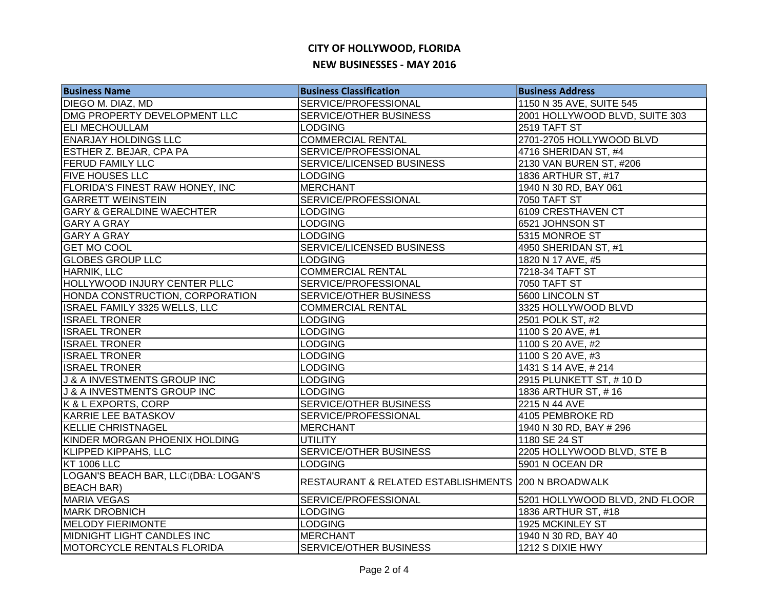| <b>Business Name</b>                   | <b>Business Classification</b>                      | <b>Business Address</b>        |
|----------------------------------------|-----------------------------------------------------|--------------------------------|
| DIEGO M. DIAZ, MD                      | SERVICE/PROFESSIONAL                                | 1150 N 35 AVE, SUITE 545       |
| DMG PROPERTY DEVELOPMENT LLC           | SERVICE/OTHER BUSINESS                              | 2001 HOLLYWOOD BLVD, SUITE 303 |
| <b>ELI MECHOULLAM</b>                  | <b>LODGING</b>                                      | 2519 TAFT ST                   |
| <b>ENARJAY HOLDINGS LLC</b>            | <b>COMMERCIAL RENTAL</b>                            | 2701-2705 HOLLYWOOD BLVD       |
| <b>ESTHER Z. BEJAR, CPA PA</b>         | SERVICE/PROFESSIONAL                                | 4716 SHERIDAN ST, #4           |
| <b>FERUD FAMILY LLC</b>                | SERVICE/LICENSED BUSINESS                           | 2130 VAN BUREN ST, #206        |
| <b>FIVE HOUSES LLC</b>                 | <b>LODGING</b>                                      | 1836 ARTHUR ST, #17            |
| FLORIDA'S FINEST RAW HONEY, INC        | <b>MERCHANT</b>                                     | 1940 N 30 RD, BAY 061          |
| <b>GARRETT WEINSTEIN</b>               | SERVICE/PROFESSIONAL                                | <b>7050 TAFT ST</b>            |
| <b>GARY &amp; GERALDINE WAECHTER</b>   | <b>LODGING</b>                                      | 6109 CRESTHAVEN CT             |
| <b>GARY A GRAY</b>                     | <b>LODGING</b>                                      | 6521 JOHNSON ST                |
| <b>GARY A GRAY</b>                     | <b>LODGING</b>                                      | 5315 MONROE ST                 |
| <b>GET MO COOL</b>                     | SERVICE/LICENSED BUSINESS                           | 4950 SHERIDAN ST, #1           |
| <b>GLOBES GROUP LLC</b>                | <b>LODGING</b>                                      | 1820 N 17 AVE, #5              |
| HARNIK, LLC                            | <b>COMMERCIAL RENTAL</b>                            | 7218-34 TAFT ST                |
| HOLLYWOOD INJURY CENTER PLLC           | SERVICE/PROFESSIONAL                                | <b>7050 TAFT ST</b>            |
| HONDA CONSTRUCTION, CORPORATION        | SERVICE/OTHER BUSINESS                              | 5600 LINCOLN ST                |
| ISRAEL FAMILY 3325 WELLS, LLC          | <b>COMMERCIAL RENTAL</b>                            | 3325 HOLLYWOOD BLVD            |
| <b>ISRAEL TRONER</b>                   | <b>LODGING</b>                                      | 2501 POLK ST, #2               |
| <b>ISRAEL TRONER</b>                   | <b>LODGING</b>                                      | 1100 S 20 AVE, #1              |
| <b>ISRAEL TRONER</b>                   | <b>LODGING</b>                                      | 1100 S 20 AVE, #2              |
| <b>ISRAEL TRONER</b>                   | <b>LODGING</b>                                      | 1100 S 20 AVE, #3              |
| <b>ISRAEL TRONER</b>                   | <b>LODGING</b>                                      | 1431 S 14 AVE, # 214           |
| <b>J &amp; A INVESTMENTS GROUP INC</b> | <b>LODGING</b>                                      | 2915 PLUNKETT ST, #10 D        |
| <b>J &amp; A INVESTMENTS GROUP INC</b> | <b>LODGING</b>                                      | 1836 ARTHUR ST, #16            |
| K & L EXPORTS, CORP                    | <b>SERVICE/OTHER BUSINESS</b>                       | 2215 N 44 AVE                  |
| <b>KARRIE LEE BATASKOV</b>             | SERVICE/PROFESSIONAL                                | 4105 PEMBROKE RD               |
| <b>KELLIE CHRISTNAGEL</b>              | MERCHANT                                            | 1940 N 30 RD, BAY # 296        |
| KINDER MORGAN PHOENIX HOLDING          | <b>UTILITY</b>                                      | 1180 SE 24 ST                  |
| <b>KLIPPED KIPPAHS, LLC</b>            | SERVICE/OTHER BUSINESS                              | 2205 HOLLYWOOD BLVD, STE B     |
| <b>KT 1006 LLC</b>                     | <b>LODGING</b>                                      | 5901 N OCEAN DR                |
| LOGAN'S BEACH BAR, LLCI(DBA: LOGAN'S   | RESTAURANT & RELATED ESTABLISHMENTS 200 N BROADWALK |                                |
| <b>BEACH BAR)</b>                      |                                                     |                                |
| <b>MARIA VEGAS</b>                     | SERVICE/PROFESSIONAL                                | 5201 HOLLYWOOD BLVD, 2ND FLOOR |
| <b>MARK DROBNICH</b>                   | <b>LODGING</b>                                      | 1836 ARTHUR ST, #18            |
| <b>MELODY FIERIMONTE</b>               | <b>LODGING</b>                                      | 1925 MCKINLEY ST               |
| MIDNIGHT LIGHT CANDLES INC             | MERCHANT                                            | 1940 N 30 RD, BAY 40           |
| MOTORCYCLE RENTALS FLORIDA             | SERVICE/OTHER BUSINESS                              | 1212 S DIXIE HWY               |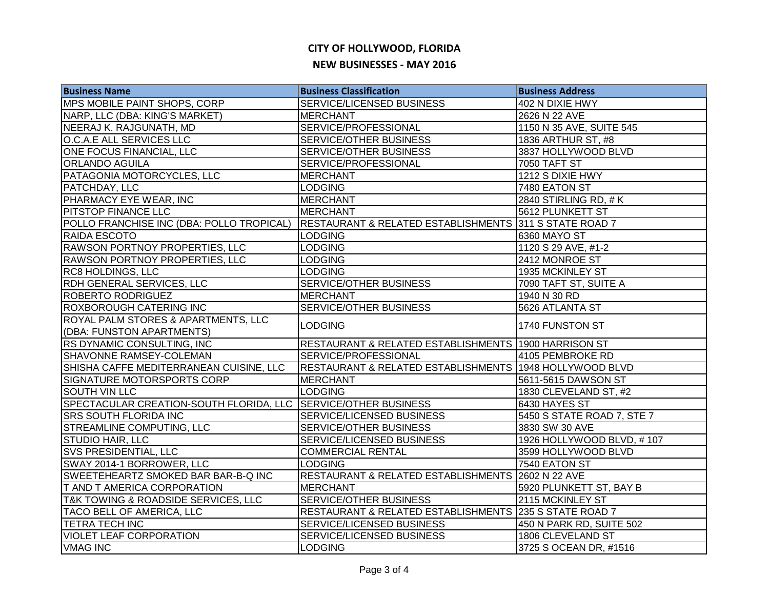| <b>Business Name</b>                                           | <b>Business Classification</b>                          | <b>Business Address</b>    |
|----------------------------------------------------------------|---------------------------------------------------------|----------------------------|
| MPS MOBILE PAINT SHOPS, CORP                                   | <b>SERVICE/LICENSED BUSINESS</b>                        | 402 N DIXIE HWY            |
| NARP, LLC (DBA: KING'S MARKET)                                 | <b>MERCHANT</b>                                         | 2626 N 22 AVE              |
| NEERAJ K. RAJGUNATH, MD                                        | SERVICE/PROFESSIONAL                                    | 1150 N 35 AVE, SUITE 545   |
| O.C.A.E ALL SERVICES LLC                                       | SERVICE/OTHER BUSINESS                                  | 1836 ARTHUR ST, #8         |
| ONE FOCUS FINANCIAL, LLC                                       | SERVICE/OTHER BUSINESS                                  | 3837 HOLLYWOOD BLVD        |
| <b>ORLANDO AGUILA</b>                                          | SERVICE/PROFESSIONAL                                    | <b>7050 TAFT ST</b>        |
| PATAGONIA MOTORCYCLES, LLC                                     | <b>MERCHANT</b>                                         | 1212 S DIXIE HWY           |
| PATCHDAY, LLC                                                  | <b>LODGING</b>                                          | 7480 EATON ST              |
| PHARMACY EYE WEAR, INC                                         | <b>MERCHANT</b>                                         | 2840 STIRLING RD, #K       |
| PITSTOP FINANCE LLC                                            | <b>MERCHANT</b>                                         | 5612 PLUNKETT ST           |
| POLLO FRANCHISE INC (DBA: POLLO TROPICAL)                      | RESTAURANT & RELATED ESTABLISHMENTS 311 S STATE ROAD 7  |                            |
| RAIDA ESCOTO                                                   | <b>LODGING</b>                                          | 6360 MAYO ST               |
| RAWSON PORTNOY PROPERTIES, LLC                                 | <b>LODGING</b>                                          | 1120 S 29 AVE, #1-2        |
| RAWSON PORTNOY PROPERTIES, LLC                                 | <b>LODGING</b>                                          | 2412 MONROE ST             |
| <b>RC8 HOLDINGS, LLC</b>                                       | <b>LODGING</b>                                          | 1935 MCKINLEY ST           |
| RDH GENERAL SERVICES, LLC                                      | SERVICE/OTHER BUSINESS                                  | 7090 TAFT ST, SUITE A      |
| <b>ROBERTO RODRIGUEZ</b>                                       | <b>MERCHANT</b>                                         | 1940 N 30 RD               |
| <b>ROXBOROUGH CATERING INC</b>                                 | SERVICE/OTHER BUSINESS                                  | 5626 ATLANTA ST            |
| ROYAL PALM STORES & APARTMENTS, LLC                            | <b>LODGING</b>                                          | 1740 FUNSTON ST            |
| (DBA: FUNSTON APARTMENTS)                                      |                                                         |                            |
| RS DYNAMIC CONSULTING, INC                                     | RESTAURANT & RELATED ESTABLISHMENTS 1900 HARRISON ST    |                            |
| SHAVONNE RAMSEY-COLEMAN                                        | SERVICE/PROFESSIONAL                                    | 4105 PEMBROKE RD           |
| SHISHA CAFFE MEDITERRANEAN CUISINE, LLC                        | RESTAURANT & RELATED ESTABLISHMENTS 1948 HOLLYWOOD BLVD |                            |
| <b>SIGNATURE MOTORSPORTS CORP</b>                              | <b>MERCHANT</b>                                         | 5611-5615 DAWSON ST        |
| <b>SOUTH VIN LLC</b>                                           | <b>LODGING</b>                                          | 1830 CLEVELAND ST, #2      |
| SPECTACULAR CREATION-SOUTH FLORIDA, LLC SERVICE/OTHER BUSINESS |                                                         | 6430 HAYES ST              |
| <b>SRS SOUTH FLORIDA INC</b>                                   | SERVICE/LICENSED BUSINESS                               | 5450 S STATE ROAD 7, STE 7 |
| <b>STREAMLINE COMPUTING, LLC</b>                               | <b>SERVICE/OTHER BUSINESS</b>                           | 3830 SW 30 AVE             |
| <b>STUDIO HAIR, LLC</b>                                        | SERVICE/LICENSED BUSINESS                               | 1926 HOLLYWOOD BLVD, #107  |
| SVS PRESIDENTIAL, LLC                                          | <b>COMMERCIAL RENTAL</b>                                | 3599 HOLLYWOOD BLVD        |
| SWAY 2014-1 BORROWER, LLC                                      | <b>LODGING</b>                                          | 7540 EATON ST              |
| SWEETEHEARTZ SMOKED BAR BAR-B-Q INC                            | RESTAURANT & RELATED ESTABLISHMENTS 2602 N 22 AVE       |                            |
| T AND T AMERICA CORPORATION                                    | <b>MERCHANT</b>                                         | 5920 PLUNKETT ST, BAY B    |
| <b>T&amp;K TOWING &amp; ROADSIDE SERVICES, LLC</b>             | SERVICE/OTHER BUSINESS                                  | 2115 MCKINLEY ST           |
| TACO BELL OF AMERICA, LLC                                      | RESTAURANT & RELATED ESTABLISHMENTS 235 S STATE ROAD 7  |                            |
| <b>TETRA TECH INC</b>                                          | SERVICE/LICENSED BUSINESS                               | 450 N PARK RD, SUITE 502   |
| <b>VIOLET LEAF CORPORATION</b>                                 | SERVICE/LICENSED BUSINESS                               | 1806 CLEVELAND ST          |
| <b>VMAG INC</b>                                                | <b>LODGING</b>                                          | 3725 S OCEAN DR, #1516     |